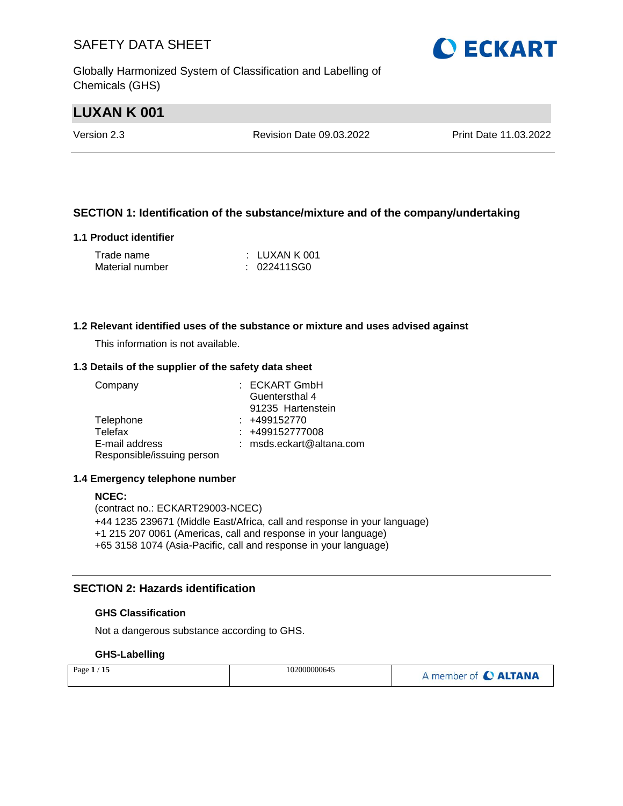Globally Harmonized System of Classification and Labelling of Chemicals (GHS)

## **LUXAN K 001**

Version 2.3 Revision Date 09.03.2022 Print Date 11.03.2022

## **SECTION 1: Identification of the substance/mixture and of the company/undertaking**

#### **1.1 Product identifier**

| Trade name      | $\pm$ LUXAN K 001 |
|-----------------|-------------------|
| Material number | : 022411SG0       |

#### **1.2 Relevant identified uses of the substance or mixture and uses advised against**

This information is not available.

#### **1.3 Details of the supplier of the safety data sheet**

| Company                    | : ECKART GmbH            |
|----------------------------|--------------------------|
|                            | Guentersthal 4           |
|                            | 91235 Hartenstein        |
| Telephone                  | $: +499152770$           |
| Telefax                    | : +499152777008          |
| E-mail address             | : msds.eckart@altana.com |
| Responsible/issuing person |                          |

#### **1.4 Emergency telephone number**

#### **NCEC:**

(contract no.: ECKART29003-NCEC) +44 1235 239671 (Middle East/Africa, call and response in your language) +1 215 207 0061 (Americas, call and response in your language) +65 3158 1074 (Asia-Pacific, call and response in your language)

### **SECTION 2: Hazards identification**

#### **GHS Classification**

Not a dangerous substance according to GHS.

### **GHS-Labelling**

| Page $1/15$ | 102000000645 | A member of C ALTANA |
|-------------|--------------|----------------------|
|-------------|--------------|----------------------|

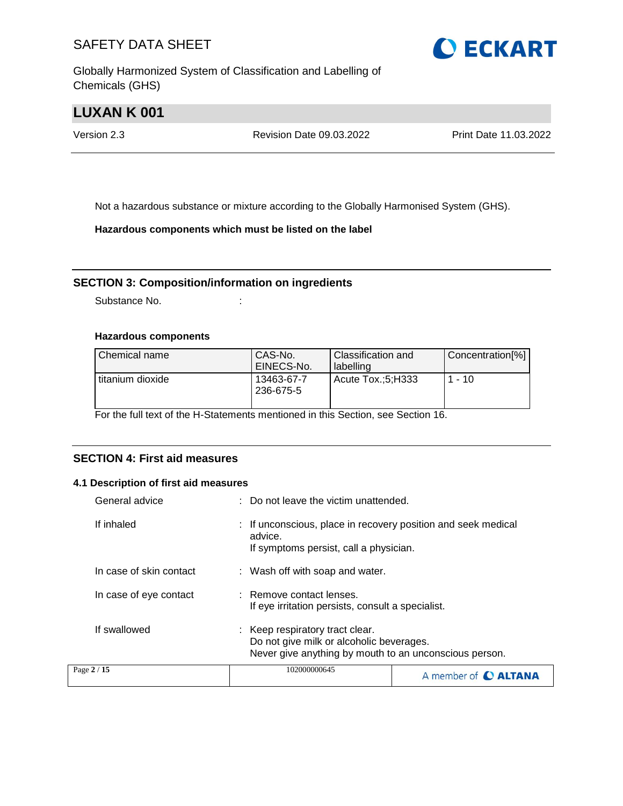Globally Harmonized System of Classification and Labelling of Chemicals (GHS)



## **LUXAN K 001**

Version 2.3 Revision Date 09.03.2022 Print Date 11.03.2022

Not a hazardous substance or mixture according to the Globally Harmonised System (GHS).

**Hazardous components which must be listed on the label**

### **SECTION 3: Composition/information on ingredients**

Substance No. **:** :

#### **Hazardous components**

| Chemical name    | CAS-No.<br>EINECS-No.   | <b>Classification and</b><br>l labelling | Concentration[%] |
|------------------|-------------------------|------------------------------------------|------------------|
| titanium dioxide | 13463-67-7<br>236-675-5 | Acute Tox.:5:H333                        | $1 - 10$         |

For the full text of the H-Statements mentioned in this Section, see Section 16.

## **SECTION 4: First aid measures**

#### **4.1 Description of first aid measures**

| General advice          | : Do not leave the victim unattended.                                                                                                 |  |
|-------------------------|---------------------------------------------------------------------------------------------------------------------------------------|--|
| If inhaled              | If unconscious, place in recovery position and seek medical<br>advice.<br>If symptoms persist, call a physician.                      |  |
| In case of skin contact | : Wash off with soap and water.                                                                                                       |  |
| In case of eye contact  | : Remove contact lenses.<br>If eye irritation persists, consult a specialist.                                                         |  |
| If swallowed            | : Keep respiratory tract clear.<br>Do not give milk or alcoholic beverages.<br>Never give anything by mouth to an unconscious person. |  |
| Page 2 / 15             | 102000000645<br>A member of <b>C ALTANA</b>                                                                                           |  |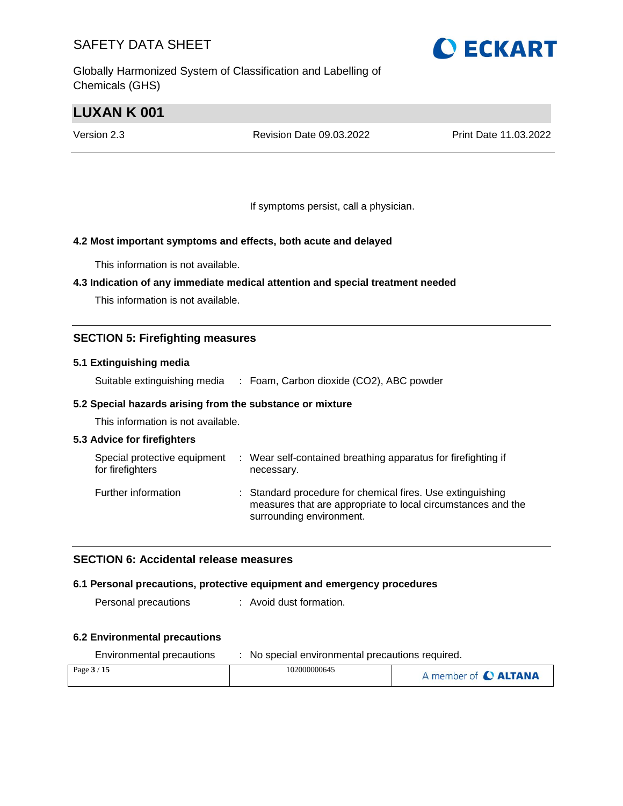Globally Harmonized System of Classification and Labelling of Chemicals (GHS)

## **LUXAN K 001**

Version 2.3 Revision Date 09.03.2022 Print Date 11.03.2022

If symptoms persist, call a physician.

## **4.2 Most important symptoms and effects, both acute and delayed**

This information is not available.

### **4.3 Indication of any immediate medical attention and special treatment needed**

This information is not available.

## **SECTION 5: Firefighting measures**

#### **5.1 Extinguishing media**

Suitable extinguishing media : Foam, Carbon dioxide (CO2), ABC powder

### **5.2 Special hazards arising from the substance or mixture**

This information is not available.

### **5.3 Advice for firefighters**

| Special protective equipment<br>for firefighters | ÷ | Wear self-contained breathing apparatus for firefighting if<br>necessary.                                                                              |
|--------------------------------------------------|---|--------------------------------------------------------------------------------------------------------------------------------------------------------|
| Further information                              |   | : Standard procedure for chemical fires. Use extinguishing<br>measures that are appropriate to local circumstances and the<br>surrounding environment. |

### **SECTION 6: Accidental release measures**

#### **6.1 Personal precautions, protective equipment and emergency procedures**

Personal precautions : Avoid dust formation.

#### **6.2 Environmental precautions**

| Environmental precautions | No special environmental precautions required. |                      |
|---------------------------|------------------------------------------------|----------------------|
| Page $3/15$               | 102000000645                                   | A member of C ALTANA |

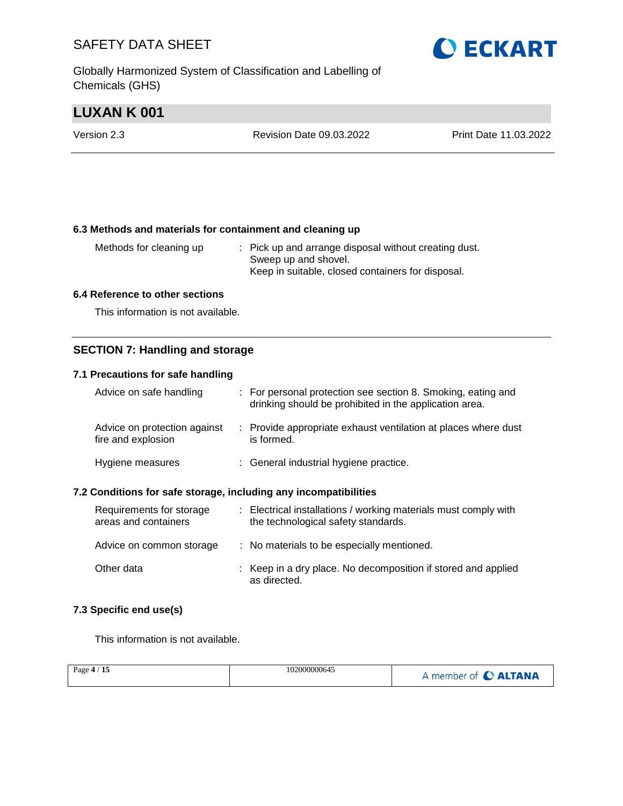Globally Harmonized System of Classification and Labelling of Chemicals (GHS)

## **LUXAN K 001**

| Version 2.3 | Revision Date 09.03.2022 | Print Date 11.03.2022 |
|-------------|--------------------------|-----------------------|
|             |                          |                       |

### **6.3 Methods and materials for containment and cleaning up**

| Methods for cleaning up | : Pick up and arrange disposal without creating dust. |
|-------------------------|-------------------------------------------------------|
|                         | Sweep up and shovel.                                  |
|                         | Keep in suitable, closed containers for disposal.     |

#### **6.4 Reference to other sections**

This information is not available.

## **SECTION 7: Handling and storage**

### **7.1 Precautions for safe handling**

| Advice on safe handling                            | : For personal protection see section 8. Smoking, eating and<br>drinking should be prohibited in the application area. |
|----------------------------------------------------|------------------------------------------------------------------------------------------------------------------------|
| Advice on protection against<br>fire and explosion | : Provide appropriate exhaust ventilation at places where dust<br>is formed.                                           |
| Hygiene measures                                   | : General industrial hygiene practice.                                                                                 |

#### **7.2 Conditions for safe storage, including any incompatibilities**

| Requirements for storage<br>areas and containers | : Electrical installations / working materials must comply with<br>the technological safety standards. |
|--------------------------------------------------|--------------------------------------------------------------------------------------------------------|
| Advice on common storage                         | : No materials to be especially mentioned.                                                             |
| Other data                                       | : Keep in a dry place. No decomposition if stored and applied<br>as directed.                          |

### **7.3 Specific end use(s)**

This information is not available.

| Page $4/15$ | 102000000645 | A member of C ALTANA |
|-------------|--------------|----------------------|
|             |              |                      |

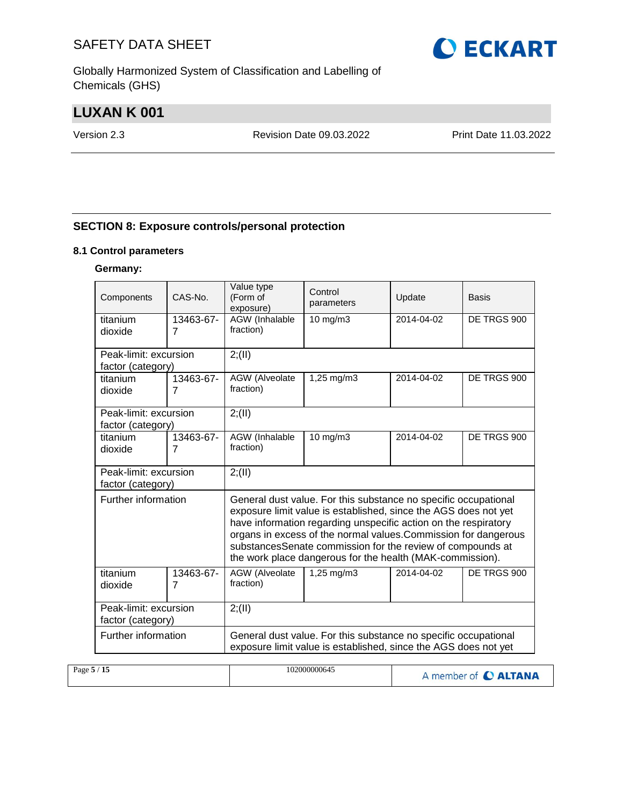Globally Harmonized System of Classification and Labelling of Chemicals (GHS)

## **LUXAN K 001**

Version 2.3 Revision Date 09.03.2022 Print Date 11.03.2022

## **SECTION 8: Exposure controls/personal protection**

### **8.1 Control parameters**

## **Germany:**

| Components            | CAS-No.                     | Value type<br>(Form of<br>exposure)                                                                                                                                                                   | Control<br>parameters                                     | Update     | <b>Basis</b> |
|-----------------------|-----------------------------|-------------------------------------------------------------------------------------------------------------------------------------------------------------------------------------------------------|-----------------------------------------------------------|------------|--------------|
| titanium              | 13463-67-<br>$\overline{7}$ | AGW (Inhalable<br>fraction)                                                                                                                                                                           | 10 mg/m3                                                  | 2014-04-02 | DE TRGS 900  |
| dioxide               |                             |                                                                                                                                                                                                       |                                                           |            |              |
| Peak-limit: excursion |                             | 2; (II)                                                                                                                                                                                               |                                                           |            |              |
| factor (category)     |                             |                                                                                                                                                                                                       |                                                           |            |              |
| titanium<br>dioxide   | 13463-67-<br>$\overline{7}$ | AGW (Alveolate<br>fraction)                                                                                                                                                                           | 1,25 mg/m3                                                | 2014-04-02 | DE TRGS 900  |
|                       |                             |                                                                                                                                                                                                       |                                                           |            |              |
| Peak-limit: excursion |                             | 2; (II)                                                                                                                                                                                               |                                                           |            |              |
| factor (category)     |                             |                                                                                                                                                                                                       |                                                           |            |              |
| titanium              | 13463-67-                   | AGW (Inhalable                                                                                                                                                                                        | 10 mg/m3                                                  | 2014-04-02 | DE TRGS 900  |
| dioxide               | $\overline{7}$              | fraction)                                                                                                                                                                                             |                                                           |            |              |
|                       |                             |                                                                                                                                                                                                       |                                                           |            |              |
| Peak-limit: excursion |                             | 2; (II)                                                                                                                                                                                               |                                                           |            |              |
| factor (category)     |                             |                                                                                                                                                                                                       |                                                           |            |              |
| Further information   |                             | General dust value. For this substance no specific occupational<br>exposure limit value is established, since the AGS does not yet<br>have information regarding unspecific action on the respiratory |                                                           |            |              |
|                       |                             | organs in excess of the normal values. Commission for dangerous                                                                                                                                       |                                                           |            |              |
|                       |                             | substancesSenate commission for the review of compounds at                                                                                                                                            |                                                           |            |              |
|                       |                             |                                                                                                                                                                                                       | the work place dangerous for the health (MAK-commission). |            |              |
| titanium              | 13463-67-                   | AGW (Alveolate                                                                                                                                                                                        | $1,25 \, \text{mg/m}$ 3                                   | 2014-04-02 | DE TRGS 900  |
| dioxide               | $\overline{7}$              | fraction)                                                                                                                                                                                             |                                                           |            |              |
|                       |                             |                                                                                                                                                                                                       |                                                           |            |              |
| Peak-limit: excursion |                             | 2; (II)                                                                                                                                                                                               |                                                           |            |              |
| factor (category)     |                             |                                                                                                                                                                                                       |                                                           |            |              |
| Further information   |                             | General dust value. For this substance no specific occupational                                                                                                                                       |                                                           |            |              |
|                       |                             | exposure limit value is established, since the AGS does not yet                                                                                                                                       |                                                           |            |              |
|                       |                             |                                                                                                                                                                                                       |                                                           |            |              |

| 102000000645<br>Page $5/15$ | A member of C ALTANA |
|-----------------------------|----------------------|
|-----------------------------|----------------------|

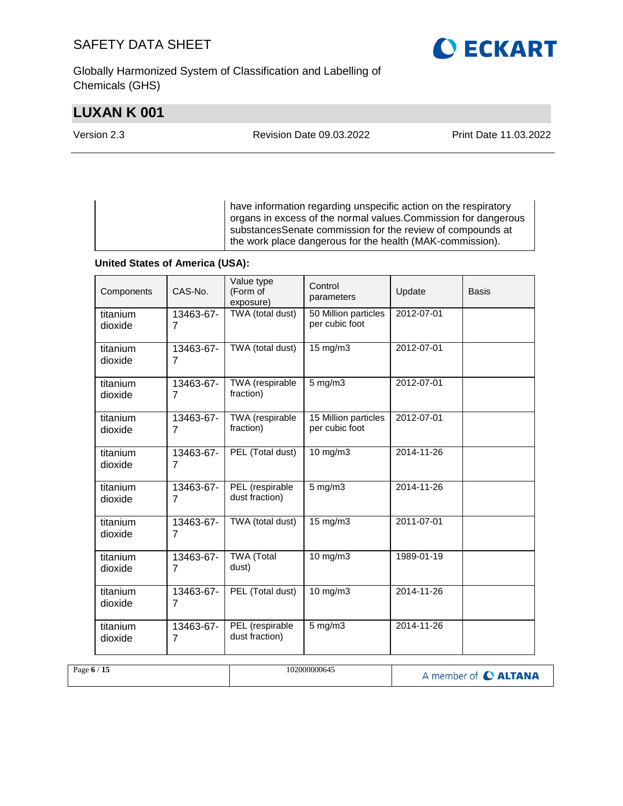Globally Harmonized System of Classification and Labelling of Chemicals (GHS)

## **LUXAN K 001**

**O ECKART** 

Version 2.3 Revision Date 09.03.2022 Print Date 11.03.2022

have information regarding unspecific action on the respiratory organs in excess of the normal values.Commission for dangerous substancesSenate commission for the review of compounds at the work place dangerous for the health (MAK-commission).

### **United States of America (USA):**

| Components          | CAS-No.                     | Value type<br>(Form of<br>exposure) | Control<br>parameters                  | Update     | <b>Basis</b> |
|---------------------|-----------------------------|-------------------------------------|----------------------------------------|------------|--------------|
| titanium<br>dioxide | 13463-67-<br>$\overline{7}$ | TWA (total dust)                    | 50 Million particles<br>per cubic foot | 2012-07-01 |              |
| titanium<br>dioxide | 13463-67-<br>7              | TWA (total dust)                    | 15 mg/m3                               | 2012-07-01 |              |
| titanium<br>dioxide | 13463-67-<br>$\overline{7}$ | TWA (respirable<br>fraction)        | $5$ mg/m $3$                           | 2012-07-01 |              |
| titanium<br>dioxide | 13463-67-<br>7              | TWA (respirable<br>fraction)        | 15 Million particles<br>per cubic foot | 2012-07-01 |              |
| titanium<br>dioxide | 13463-67-<br>7              | PEL (Total dust)                    | 10 mg/m3                               | 2014-11-26 |              |
| titanium<br>dioxide | 13463-67-<br>$\overline{7}$ | PEL (respirable<br>dust fraction)   | $5$ mg/m $3$                           | 2014-11-26 |              |
| titanium<br>dioxide | 13463-67-<br>7              | TWA (total dust)                    | 15 mg/m3                               | 2011-07-01 |              |
| titanium<br>dioxide | 13463-67-<br>7              | <b>TWA (Total</b><br>dust)          | $10$ mg/m $3$                          | 1989-01-19 |              |
| titanium<br>dioxide | 13463-67-<br>$\overline{7}$ | PEL (Total dust)                    | 10 mg/m3                               | 2014-11-26 |              |
| titanium<br>dioxide | 13463-67-<br>7              | PEL (respirable<br>dust fraction)   | $5$ mg/m $3$                           | 2014-11-26 |              |

| Page 6 / 15 | 102000000645 | A member of C ALTANA |
|-------------|--------------|----------------------|
|             |              |                      |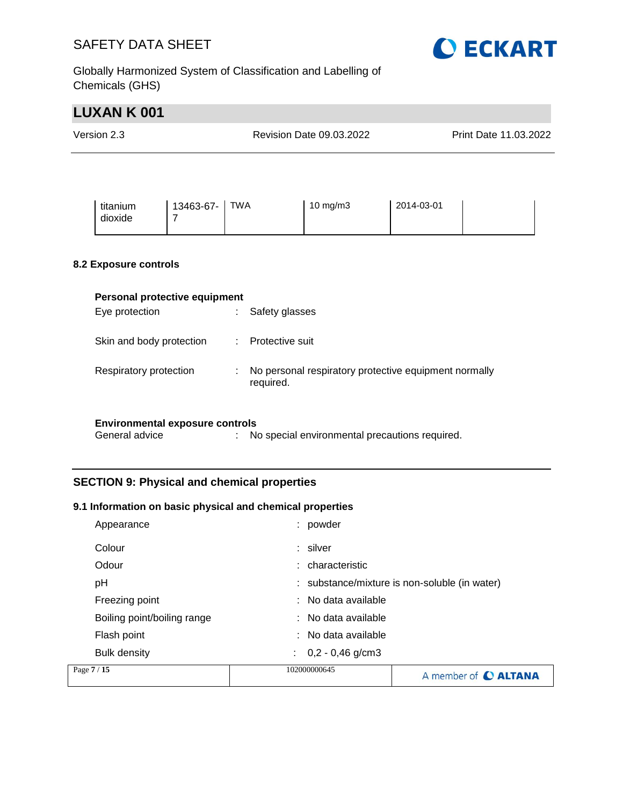

Globally Harmonized System of Classification and Labelling of Chemicals (GHS)

| <b>LUXAN K001</b>                      |                             |                                  |                                                       |            |                       |  |
|----------------------------------------|-----------------------------|----------------------------------|-------------------------------------------------------|------------|-----------------------|--|
| Version 2.3                            |                             |                                  | <b>Revision Date 09.03.2022</b>                       |            | Print Date 11.03.2022 |  |
|                                        |                             |                                  |                                                       |            |                       |  |
| titanium<br>dioxide                    | 13463-67-<br>$\overline{7}$ | <b>TWA</b>                       | 10 mg/m3                                              | 2014-03-01 |                       |  |
| 8.2 Exposure controls                  |                             |                                  |                                                       |            |                       |  |
| Personal protective equipment          |                             |                                  |                                                       |            |                       |  |
| Eye protection                         |                             | Safety glasses<br>÷.             |                                                       |            |                       |  |
| Skin and body protection               |                             | Protective suit<br>$\mathcal{L}$ |                                                       |            |                       |  |
| Respiratory protection                 |                             | ÷<br>required.                   | No personal respiratory protective equipment normally |            |                       |  |
| <b>Environmental exposure controls</b> |                             |                                  |                                                       |            |                       |  |
| General advice                         |                             | $\mathbb{R}^n$                   | No special environmental precautions required.        |            |                       |  |

## **SECTION 9: Physical and chemical properties**

## **9.1 Information on basic physical and chemical properties**

| Page 7 / 15                 | 102000000645             | A member of C ALTANA                          |
|-----------------------------|--------------------------|-----------------------------------------------|
| <b>Bulk density</b>         | $0,2 - 0,46$ g/cm3<br>÷. |                                               |
| Flash point                 | $:$ No data available    |                                               |
| Boiling point/boiling range | $:$ No data available    |                                               |
| Freezing point              | : No data available      |                                               |
| рH                          |                          | : substance/mixture is non-soluble (in water) |
| Odour                       | : characteristic         |                                               |
| Colour                      | : silver                 |                                               |
| Appearance                  | powder                   |                                               |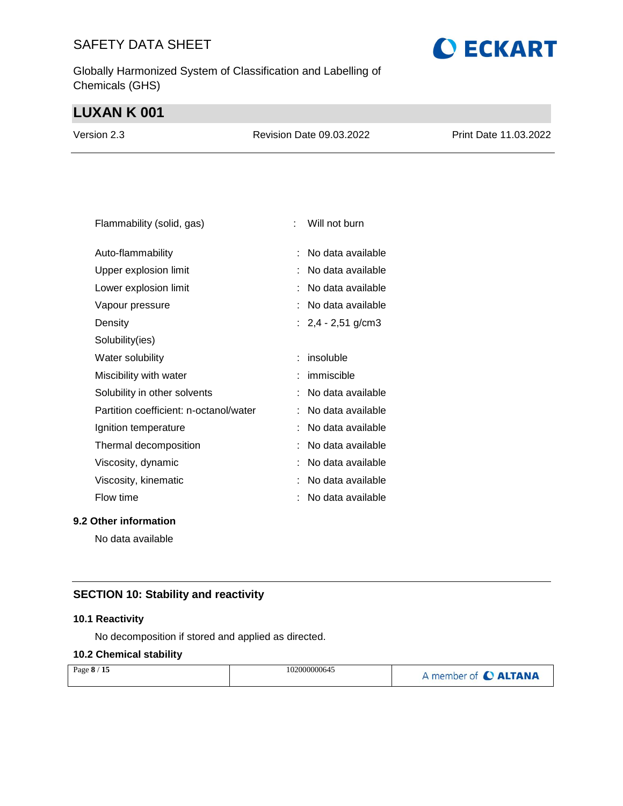Globally Harmonized System of Classification and Labelling of Chemicals (GHS)

## **LUXAN K 001**

| Version 2.3 | Revision Date 09.03.2022 | <b>Print Date 11.03.2022</b> |
|-------------|--------------------------|------------------------------|
|             |                          |                              |

| Flammability (solid, gas)              | t | Will not burn        |
|----------------------------------------|---|----------------------|
| Auto-flammability                      |   | No data available    |
| Upper explosion limit                  |   | No data available    |
| Lower explosion limit                  |   | No data available    |
| Vapour pressure                        |   | No data available    |
| Density                                |   | : $2,4 - 2,51$ g/cm3 |
| Solubility(ies)                        |   |                      |
| Water solubility                       | ÷ | insoluble            |
| Miscibility with water                 |   | immiscible           |
| Solubility in other solvents           |   | No data available    |
| Partition coefficient: n-octanol/water |   | No data available    |
| Ignition temperature                   |   | No data available    |
| Thermal decomposition                  |   | No data available    |
| Viscosity, dynamic                     |   | No data available    |
| Viscosity, kinematic                   |   | No data available    |
| Flow time                              | t | No data available    |
|                                        |   |                      |

**9.2 Other information**

No data available

## **SECTION 10: Stability and reactivity**

### **10.1 Reactivity**

No decomposition if stored and applied as directed.

### **10.2 Chemical stability**

| Page 8 / 15 | 102000000645 | A member of C ALTANA |
|-------------|--------------|----------------------|
|             |              |                      |

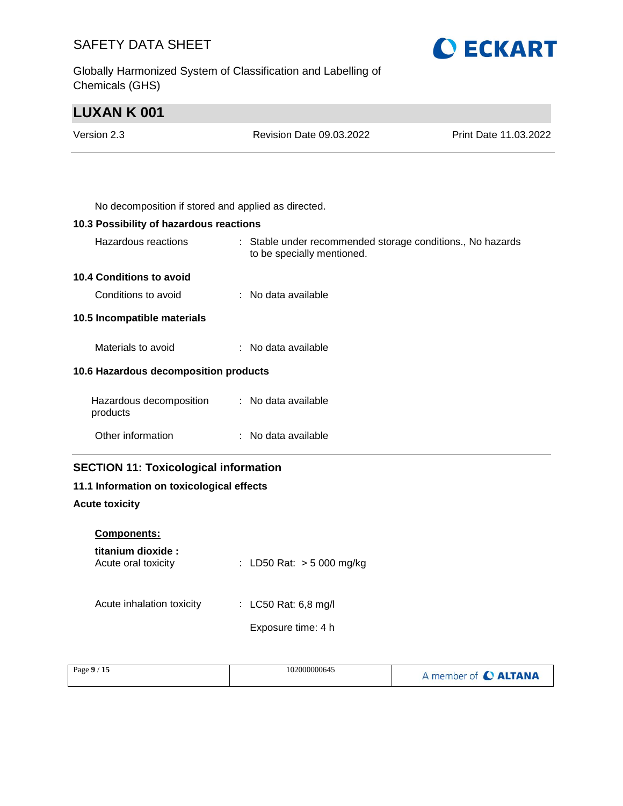Globally Harmonized System of Classification and Labelling of Chemicals (GHS)



## **LUXAN K 001**

| Version 2.3 | Revision Date 09.03.2022                            | Print Date 11.03.2022 |
|-------------|-----------------------------------------------------|-----------------------|
|             |                                                     |                       |
|             |                                                     |                       |
|             | No decomposition if stored and applied as directed. |                       |

## **10.3 Possibility of hazardous reactions**

| Hazardous reactions                   | : Stable under recommended storage conditions., No hazards<br>to be specially mentioned. |  |
|---------------------------------------|------------------------------------------------------------------------------------------|--|
| 10.4 Conditions to avoid              |                                                                                          |  |
| Conditions to avoid                   | $\therefore$ No data available                                                           |  |
| 10.5 Incompatible materials           |                                                                                          |  |
| Materials to avoid                    | : No data available                                                                      |  |
| 10.6 Hazardous decomposition products |                                                                                          |  |
| Hazardous decomposition<br>products   | : No data available                                                                      |  |
| Other information                     | $:$ No data available                                                                    |  |

## **SECTION 11: Toxicological information**

## **11.1 Information on toxicological effects**

## **Acute toxicity**

| <b>Components:</b> |  |
|--------------------|--|
| titanium diovida   |  |

| titanium dioxide :<br>Acute oral toxicity | : LD50 Rat: $> 5000$ mg/kg |
|-------------------------------------------|----------------------------|
| Acute inhalation toxicity                 | : LC50 Rat: 6,8 mg/l       |
|                                           | Exposure time: 4 h         |
|                                           |                            |

| Page $9/15$ | 102000000645 | A member of C ALTANA |
|-------------|--------------|----------------------|
|-------------|--------------|----------------------|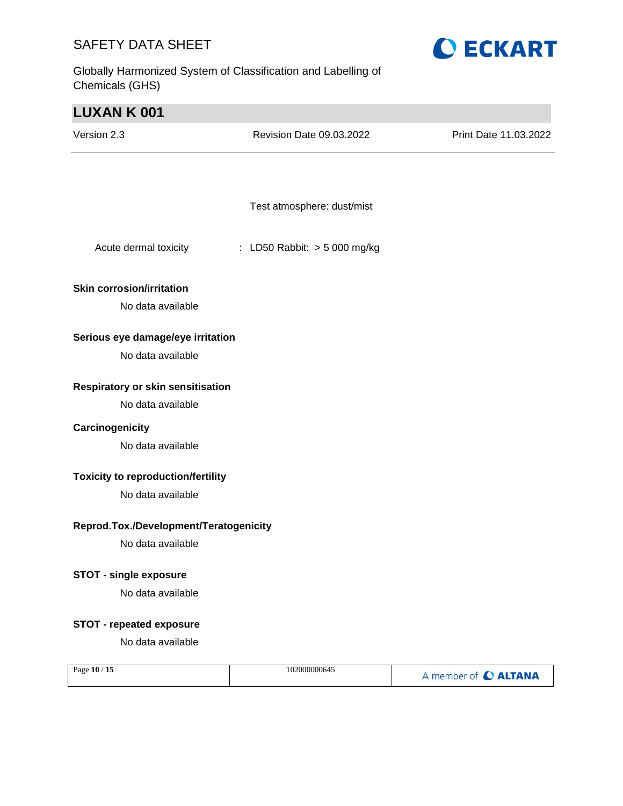Globally Harmonized System of Classification and Labelling of Chemicals (GHS)



| <b>LUXAN K 001</b>                        |                              |                       |
|-------------------------------------------|------------------------------|-----------------------|
| Version 2.3                               | Revision Date 09.03.2022     | Print Date 11.03.2022 |
|                                           |                              |                       |
|                                           |                              |                       |
|                                           | Test atmosphere: dust/mist   |                       |
| Acute dermal toxicity                     | : LD50 Rabbit: > 5 000 mg/kg |                       |
| <b>Skin corrosion/irritation</b>          |                              |                       |
| No data available                         |                              |                       |
| Serious eye damage/eye irritation         |                              |                       |
| No data available                         |                              |                       |
| Respiratory or skin sensitisation         |                              |                       |
| No data available                         |                              |                       |
| Carcinogenicity                           |                              |                       |
| No data available                         |                              |                       |
| <b>Toxicity to reproduction/fertility</b> |                              |                       |
| No data available                         |                              |                       |
| Reprod.Tox./Development/Teratogenicity    |                              |                       |
| No data available                         |                              |                       |
| <b>STOT - single exposure</b>             |                              |                       |
| No data available                         |                              |                       |
| <b>STOT - repeated exposure</b>           |                              |                       |
| No data available                         |                              |                       |
| Page 10 / 15                              | 102000000645                 | A member of C ALTANA  |
|                                           |                              |                       |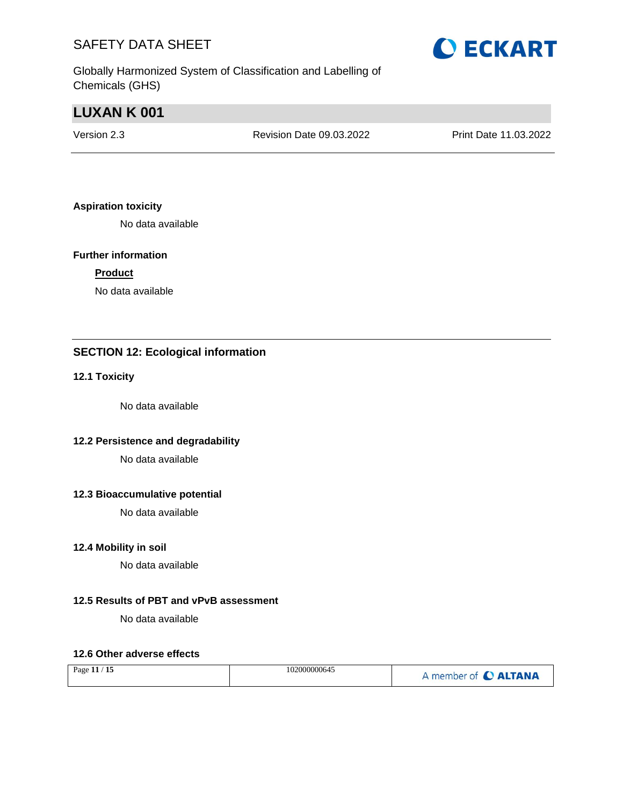Globally Harmonized System of Classification and Labelling of Chemicals (GHS)

## **LUXAN K 001**

| Version 2.3 | Revision Date 09.03.2022 | Print Date 11.03.2022 |
|-------------|--------------------------|-----------------------|
|             |                          |                       |

## **Aspiration toxicity**

No data available

#### **Further information**

### **Product**

No data available

## **SECTION 12: Ecological information**

### **12.1 Toxicity**

No data available

### **12.2 Persistence and degradability**

No data available

### **12.3 Bioaccumulative potential**

No data available

#### **12.4 Mobility in soil**

No data available

## **12.5 Results of PBT and vPvB assessment**

No data available

#### **12.6 Other adverse effects**

| $^\prime$ 15<br>Page 11 $/$ | 102000000645 | member of C ALTANA |
|-----------------------------|--------------|--------------------|
|-----------------------------|--------------|--------------------|

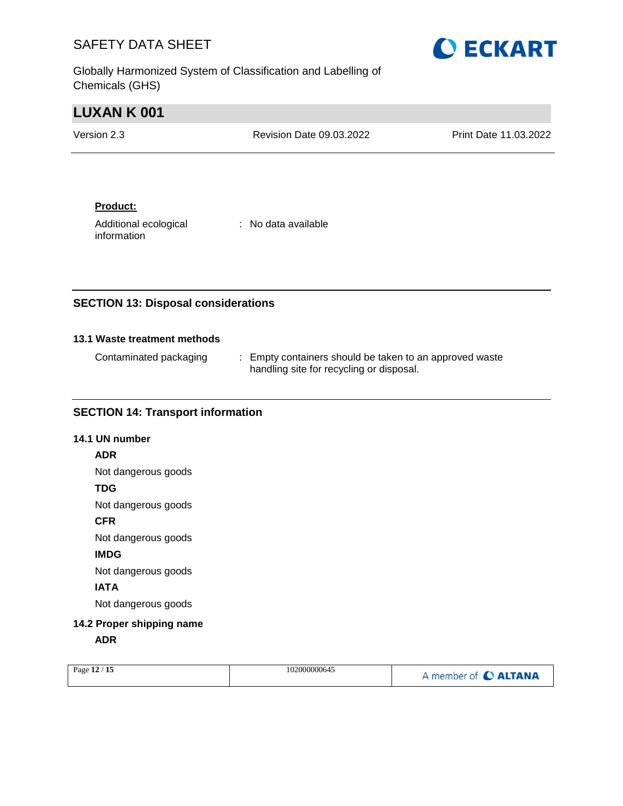Globally Harmonized System of Classification and Labelling of Chemicals (GHS)



| <b>LUXAN K 001</b> |                          |                       |
|--------------------|--------------------------|-----------------------|
| Version 2.3        | Revision Date 09.03.2022 | Print Date 11.03.2022 |
|                    |                          |                       |

### **Product:**

Additional ecological information

: No data available

## **SECTION 13: Disposal considerations**

### **13.1 Waste treatment methods**

| Contaminated packaging | : Empty containers should be taken to an approved waste |
|------------------------|---------------------------------------------------------|
|                        | handling site for recycling or disposal.                |

### **SECTION 14: Transport information**

### **14.1 UN number**

### **ADR**

Not dangerous goods

### **TDG**

Not dangerous goods

## **CFR**

Not dangerous goods

## **IMDG**

Not dangerous goods

## **IATA**

Not dangerous goods

## **14.2 Proper shipping name**

**ADR**

|  | Page 12 / 15 | 102000000645 | A member of C ALTANA |
|--|--------------|--------------|----------------------|
|--|--------------|--------------|----------------------|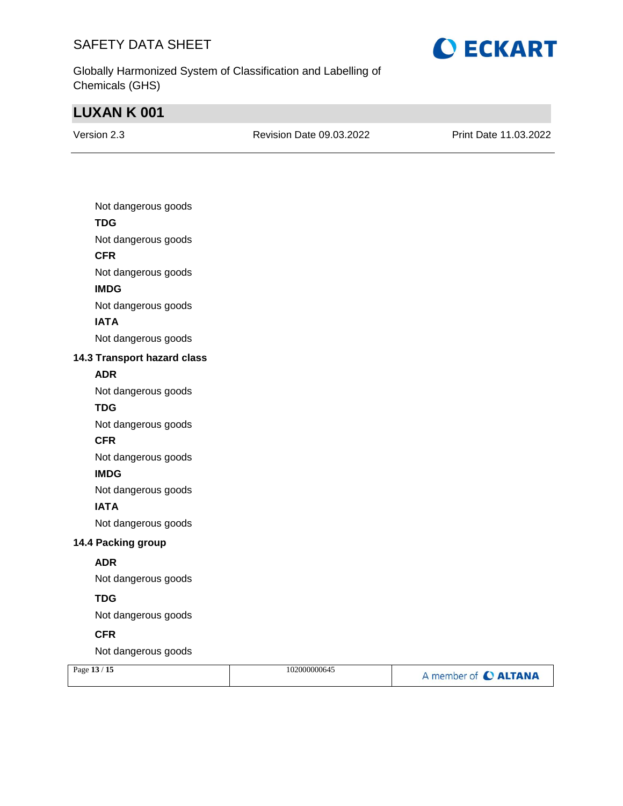

Globally Harmonized System of Classification and Labelling of Chemicals (GHS)

# **LUXAN K 001**

| Version 2.3 |  |
|-------------|--|
|             |  |

Revision Date 09.03.2022 Print Date 11.03.2022

| Not dangerous goods         |
|-----------------------------|
| <b>TDG</b>                  |
| Not dangerous goods         |
| <b>CFR</b>                  |
| Not dangerous goods         |
| <b>IMDG</b>                 |
| Not dangerous goods         |
| <b>IATA</b>                 |
| Not dangerous goods         |
| 14.3 Transport hazard class |
| <b>ADR</b>                  |
| Not dangerous goods         |
| <b>TDG</b>                  |
| Not dangerous goods         |
| <b>CFR</b>                  |
| Not dangerous goods         |
| <b>IMDG</b>                 |
| Not dangerous goods         |
| <b>IATA</b>                 |
| Not dangerous goods         |
| 14.4 Packing group          |
| <b>ADR</b>                  |
| Not dangerous goods         |
| <b>TDG</b>                  |
| Not dangerous goods         |
| <b>CFR</b>                  |
| Not dangerous goods         |
|                             |

| Page 13 / 15 | 102000000645 | A member of C ALTANA |
|--------------|--------------|----------------------|
|              |              |                      |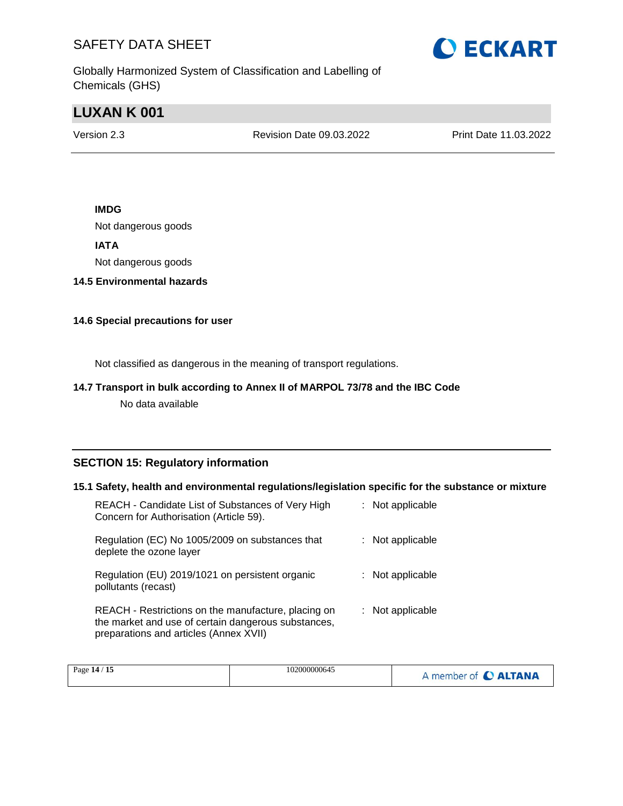

Globally Harmonized System of Classification and Labelling of Chemicals (GHS)

## **LUXAN K 001**

Version 2.3 Revision Date 09.03.2022 Print Date 11.03.2022

## **IMDG**

Not dangerous goods

### **IATA**

Not dangerous goods

### **14.5 Environmental hazards**

### **14.6 Special precautions for user**

Not classified as dangerous in the meaning of transport regulations.

### **14.7 Transport in bulk according to Annex II of MARPOL 73/78 and the IBC Code**

No data available

## **SECTION 15: Regulatory information**

#### **15.1 Safety, health and environmental regulations/legislation specific for the substance or mixture**

| REACH - Candidate List of Substances of Very High<br>Concern for Authorisation (Article 59).                                                         | : Not applicable |
|------------------------------------------------------------------------------------------------------------------------------------------------------|------------------|
| Regulation (EC) No 1005/2009 on substances that<br>deplete the ozone layer                                                                           | : Not applicable |
| Regulation (EU) 2019/1021 on persistent organic<br>pollutants (recast)                                                                               | : Not applicable |
| REACH - Restrictions on the manufacture, placing on<br>the market and use of certain dangerous substances,<br>preparations and articles (Annex XVII) | : Not applicable |

| Page 14 / 15 | 102000000645 | <b>CALTANA</b><br>member of <b>C</b> |
|--------------|--------------|--------------------------------------|
|--------------|--------------|--------------------------------------|